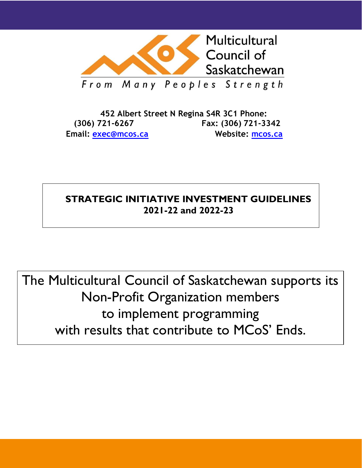

**452 Albert Street N Regina S4R 3C1 Phone: (306) 721-6267 Fax: (306) 721-3342 Email: [exec@mcos.ca](mailto:exec@mcos.ca) Website: [mcos.ca](http://www.mcos.ca/)**

# **STRATEGIC INITIATIVE INVESTMENT GUIDELINES 2021-22 and 2022-23**

The Multicultural Council of Saskatchewan supports its Non-Profit Organization members to implement programming with results that contribute to MCoS' Ends.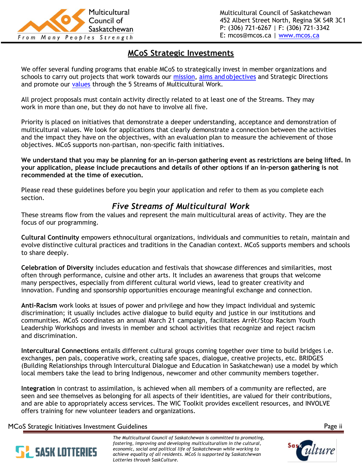

## **MCoS Strategic Investments**

We offer several funding programs that enable MCoS to strategically invest in member organizations and schools to carry out projects that work towards our [mission,](https://mcos.ca/about/) aims and [objectives](https://mcos.ca/about/) and Strategic Directions and promote our [values](https://mcos.ca/about/values/) through the 5 Streams of Multicultural Work.

All project proposals must contain activity directly related to at least one of the Streams. They may work in more than one, but they do not have to involve all five.

Priority is placed on initiatives that demonstrate a deeper understanding, acceptance and demonstration of multicultural values. We look for applications that clearly demonstrate a connection between the activities and the impact they have on the objectives, with an evaluation plan to measure the achievement of those objectives. MCoS supports non-partisan, non-specific faith initiatives.

**We understand that you may be planning for an in-person gathering event as restrictions are being lifted. In your application, please include precautions and details of other options if an in-person gathering is not recommended at the time of execution.**

Please read these guidelines before you begin your application and refer to them as you complete each section.

# *Five Streams of Multicultural Work*

These streams flow from the values and represent the main multicultural areas of activity. They are the focus of our programming.

**Cultural Continuity** empowers ethnocultural organizations, individuals and communities to retain, maintain and evolve distinctive cultural practices and traditions in the Canadian context. MCoS supports members and schools to share deeply.

**Celebration of Diversity** includes education and festivals that showcase differences and similarities, most often through performance, cuisine and other arts. It includes an awareness that groups that welcome many perspectives, especially from different cultural world views, lead to greater creativity and innovation. Funding and sponsorship opportunities encourage meaningful exchange and connection.

**Anti-Racism** work looks at issues of power and privilege and how they impact individual and systemic discrimination; it usually includes active dialogue to build equity and justice in our institutions and communities. MCoS coordinates an annual March 21 campaign, facilitates Arrêt/Stop Racism Youth Leadership Workshops and invests in member and school activities that recognize and reject racism and discrimination.

**Intercultural Connections** entails different cultural groups coming together over time to build bridges i.e. exchanges, pen pals, cooperative work, creating safe spaces, dialogue, creative projects, etc. BRIDGES (Building Relationships through Intercultural Dialogue and Education in Saskatchewan) use a model by which local members take the lead to bring Indigenous, newcomer and other community members together.

**Integration** in contrast to assimilation, is achieved when all members of a community are reflected, are seen and see themselves as belonging for all aspects of their identities, are valued for their contributions, and are able to appropriately access services. The WIC Toolkit provides excellent resources, and INVOLVE offers training for new volunteer leaders and organizations.

MCoS Strategic Initiatives Investment Guidelines Page ii



*The Multicultural Council of Saskatchewan is committed to promoting, fostering, improving and developing multiculturalism in the cultural, economic, social and political life of Saskatchewan while working to achieve equality of all residents. MCoS is supported by Saskatchewan Lotteries through SaskCulture.*



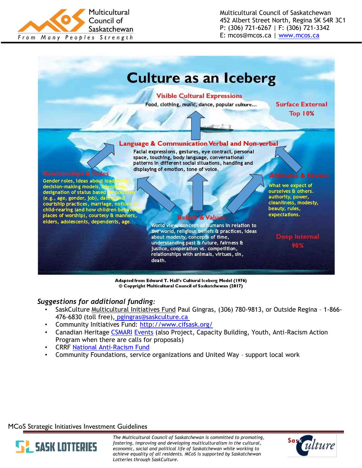

Multicultural Council of Saskatchewan 452 Albert Street North, Regina SK S4R 3C1 P: (306) 721-6267 | F: (306) 721-3342 E: mcos@mcos.ca | [www.mcos.ca](http://www.mcos.ca/)



Adapted from Edward T. Hall's Cultural Iceberg Model (1976) © Copyright Multicultural Council of Saskatchewan (2017)

#### *Suggestions for additional funding:*

- SaskCulture Multicultural Initiatives Fund Paul Gingras, (306) 780-9813, or Outside Regina 1-866- 476-6830 (toll free)[,](mailto:pgingras@saskculture.ca) [pgingras@saskculture.ca](mailto:pgingras@saskculture.ca)
- Community Initiatives Fund: <http://www.cifsask.org/>
- Canadian Heritage [CSMARI](https://www.canada.ca/en/canadian-heritage/services/funding/community-multiculturalism-anti-racism.html) [Events](https://www.canada.ca/en/canadian-heritage/services/funding/community-multiculturalism-anti-racism/events.html) (also Project, Capacity Building, Youth, Anti-Racism Action Program when there are calls for proposals)
- CRRF [National Anti-Racism Fund](https://www.crrf-fcrr.ca/en/grants/current-grants/national-anti-racism-fund)
- Community Foundations, service organizations and United Way support local work

MCoS Strategic Initiatives Investment Guidelines



*The Multicultural Council of Saskatchewan is committed to promoting, fostering, improving and developing multiculturalism in the cultural, economic, social and political life of Saskatchewan while working to achieve equality of all residents. MCoS is supported by Saskatchewan Lotteries through SaskCulture.*